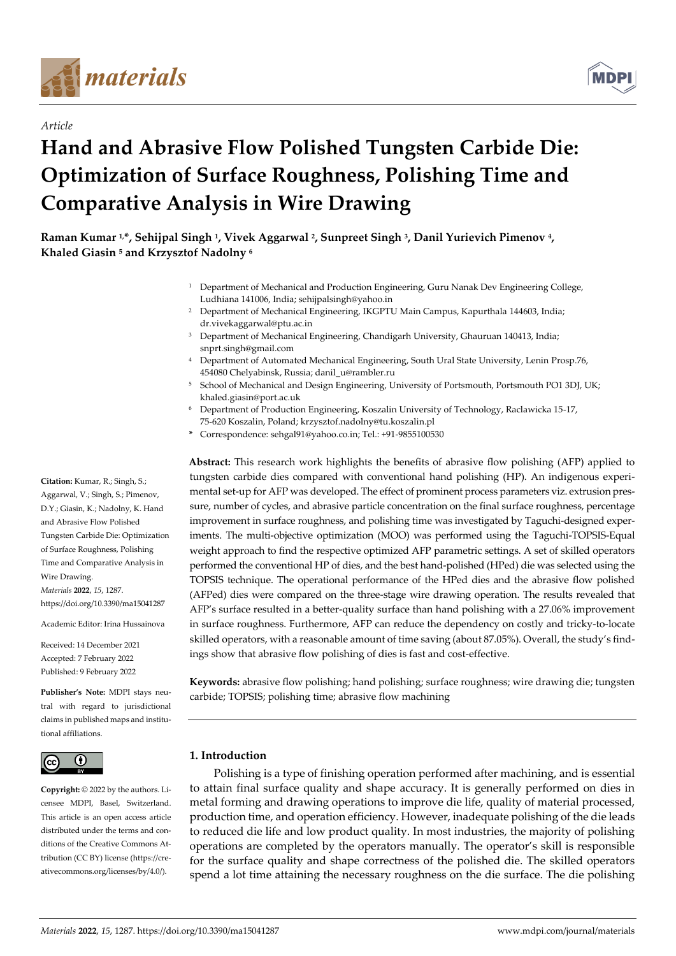

*Article*



# **Hand and Abrasive Flow Polished Tungsten Carbide Die: Optimization of Surface Roughness, Polishing Time and Comparative Analysis in Wire Drawing**

**Raman Kumar 1,\*, Sehijpal Singh <sup>1</sup> , Vivek Aggarwal <sup>2</sup> , Sunpreet Singh <sup>3</sup> , Danil Yurievich Pimenov <sup>4</sup> , Khaled Giasin <sup>5</sup> and Krzysztof Nadolny <sup>6</sup>**

- <sup>1</sup> Department of Mechanical and Production Engineering, Guru Nanak Dev Engineering College, Ludhiana 141006, India; sehijpalsingh@yahoo.in
- <sup>2</sup> Department of Mechanical Engineering, IKGPTU Main Campus, Kapurthala 144603, India; dr.vivekaggarwal@ptu.ac.in
- <sup>3</sup> Department of Mechanical Engineering, Chandigarh University, Ghauruan 140413, India; snprt.singh@gmail.com
- <sup>4</sup> Department of Automated Mechanical Engineering, South Ural State University, Lenin Prosp.76, 454080 Chelyabinsk, Russia; danil\_u@rambler.ru
- <sup>5</sup> School of Mechanical and Design Engineering, University of Portsmouth, Portsmouth PO1 3DJ, UK; khaled.giasin@port.ac.uk
- <sup>6</sup> Department of Production Engineering, Koszalin University of Technology, Raclawicka 15-17, 75-620 Koszalin, Poland; krzysztof.nadolny@tu.koszalin.pl
- **\*** Correspondence: sehgal91@yahoo.co.in; Tel.: +91-9855100530

**Abstract:** This research work highlights the benefits of abrasive flow polishing (AFP) applied to tungsten carbide dies compared with conventional hand polishing (HP). An indigenous experimental set-up for AFP was developed. The effect of prominent process parameters viz. extrusion pressure, number of cycles, and abrasive particle concentration on the final surface roughness, percentage improvement in surface roughness, and polishing time was investigated by Taguchi-designed experiments. The multi-objective optimization (MOO) was performed using the Taguchi-TOPSIS-Equal weight approach to find the respective optimized AFP parametric settings. A set of skilled operators performed the conventional HP of dies, and the best hand-polished (HPed) die was selected using the TOPSIS technique. The operational performance of the HPed dies and the abrasive flow polished (AFPed) dies were compared on the three-stage wire drawing operation. The results revealed that AFP's surface resulted in a better-quality surface than hand polishing with a 27.06% improvement in surface roughness. Furthermore, AFP can reduce the dependency on costly and tricky-to-locate skilled operators, with a reasonable amount of time saving (about 87.05%). Overall, the study's findings show that abrasive flow polishing of dies is fast and cost-effective.

**Keywords:** abrasive flow polishing; hand polishing; surface roughness; wire drawing die; tungsten carbide; TOPSIS; polishing time; abrasive flow machining

## **1. Introduction**

Polishing is a type of finishing operation performed after machining, and is essential to attain final surface quality and shape accuracy. It is generally performed on dies in metal forming and drawing operations to improve die life, quality of material processed, production time, and operation efficiency. However, inadequate polishing of the die leads to reduced die life and low product quality. In most industries, the majority of polishing operations are completed by the operators manually. The operator's skill is responsible for the surface quality and shape correctness of the polished die. The skilled operators spend a lot time attaining the necessary roughness on the die surface. The die polishing

**Citation:** Kumar, R.; Singh, S.; Aggarwal, V.; Singh, S.; Pimenov, D.Y.; Giasin, K.; Nadolny, K. Hand and Abrasive Flow Polished Tungsten Carbide Die: Optimization of Surface Roughness, Polishing Time and Comparative Analysis in Wire Drawing. *Materials* **2022**, *15*, 1287. https://doi.org/10.3390/ma15041287

Academic Editor: Irina Hussainova

Received: 14 December 2021 Accepted: 7 February 2022 Published: 9 February 2022

**Publisher's Note:** MDPI stays neutral with regard to jurisdictional claims in published maps and institutional affiliations.



**Copyright:** © 2022 by the authors. Licensee MDPI, Basel, Switzerland. This article is an open access article distributed under the terms and conditions of the Creative Commons Attribution (CC BY) license (https://creativecommons.org/licenses/by/4.0/).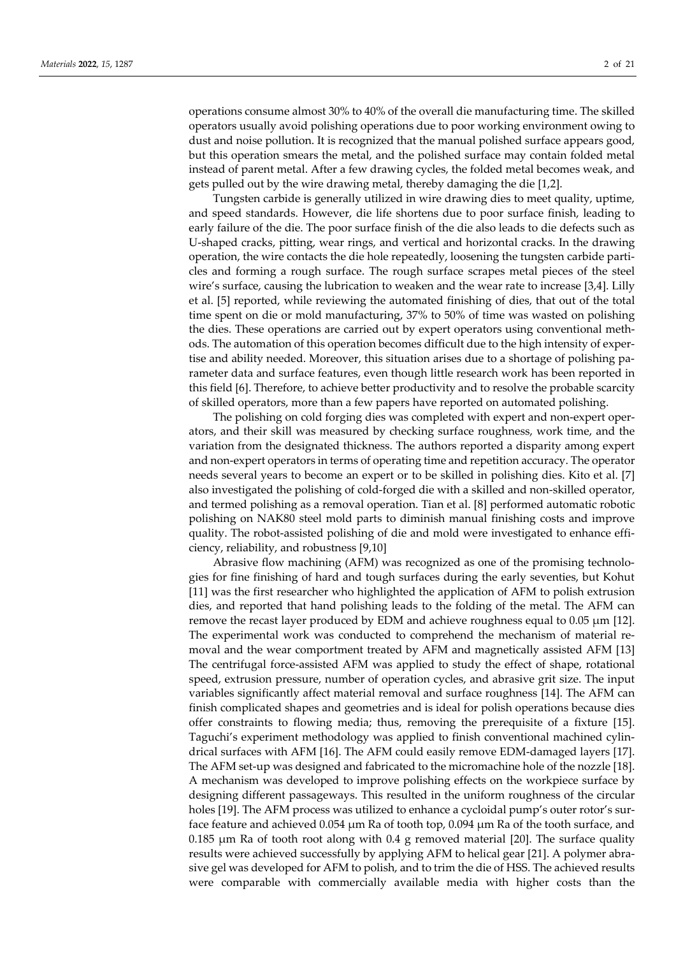operations consume almost 30% to 40% of the overall die manufacturing time. The skilled operators usually avoid polishing operations due to poor working environment owing to dust and noise pollution. It is recognized that the manual polished surface appears good, but this operation smears the metal, and the polished surface may contain folded metal instead of parent metal. After a few drawing cycles, the folded metal becomes weak, and gets pulled out by the wire drawing metal, thereby damaging the die [1,2].

Tungsten carbide is generally utilized in wire drawing dies to meet quality, uptime, and speed standards. However, die life shortens due to poor surface finish, leading to early failure of the die. The poor surface finish of the die also leads to die defects such as U-shaped cracks, pitting, wear rings, and vertical and horizontal cracks. In the drawing operation, the wire contacts the die hole repeatedly, loosening the tungsten carbide particles and forming a rough surface. The rough surface scrapes metal pieces of the steel wire's surface, causing the lubrication to weaken and the wear rate to increase [3,4]. Lilly et al. [5] reported, while reviewing the automated finishing of dies, that out of the total time spent on die or mold manufacturing, 37% to 50% of time was wasted on polishing the dies. These operations are carried out by expert operators using conventional methods. The automation of this operation becomes difficult due to the high intensity of expertise and ability needed. Moreover, this situation arises due to a shortage of polishing parameter data and surface features, even though little research work has been reported in this field [6]. Therefore, to achieve better productivity and to resolve the probable scarcity of skilled operators, more than a few papers have reported on automated polishing.

The polishing on cold forging dies was completed with expert and non-expert operators, and their skill was measured by checking surface roughness, work time, and the variation from the designated thickness. The authors reported a disparity among expert and non-expert operators in terms of operating time and repetition accuracy. The operator needs several years to become an expert or to be skilled in polishing dies. Kito et al. [7] also investigated the polishing of cold-forged die with a skilled and non-skilled operator, and termed polishing as a removal operation. Tian et al. [8] performed automatic robotic polishing on NAK80 steel mold parts to diminish manual finishing costs and improve quality. The robot-assisted polishing of die and mold were investigated to enhance efficiency, reliability, and robustness [9,10]

Abrasive flow machining (AFM) was recognized as one of the promising technologies for fine finishing of hard and tough surfaces during the early seventies, but Kohut [11] was the first researcher who highlighted the application of AFM to polish extrusion dies, and reported that hand polishing leads to the folding of the metal. The AFM can remove the recast layer produced by EDM and achieve roughness equal to  $0.05 \mu m$  [12]. The experimental work was conducted to comprehend the mechanism of material removal and the wear comportment treated by AFM and magnetically assisted AFM [13] The centrifugal force-assisted AFM was applied to study the effect of shape, rotational speed, extrusion pressure, number of operation cycles, and abrasive grit size. The input variables significantly affect material removal and surface roughness [14]. The AFM can finish complicated shapes and geometries and is ideal for polish operations because dies offer constraints to flowing media; thus, removing the prerequisite of a fixture [15]. Taguchi's experiment methodology was applied to finish conventional machined cylindrical surfaces with AFM [16]. The AFM could easily remove EDM-damaged layers [17]. The AFM set-up was designed and fabricated to the micromachine hole of the nozzle [18]. A mechanism was developed to improve polishing effects on the workpiece surface by designing different passageways. This resulted in the uniform roughness of the circular holes [19]. The AFM process was utilized to enhance a cycloidal pump's outer rotor's surface feature and achieved 0.054 µm Ra of tooth top, 0.094 µm Ra of the tooth surface, and 0.185  $\mu$ m Ra of tooth root along with 0.4 g removed material [20]. The surface quality results were achieved successfully by applying AFM to helical gear [21]. A polymer abrasive gel was developed for AFM to polish, and to trim the die of HSS. The achieved results were comparable with commercially available media with higher costs than the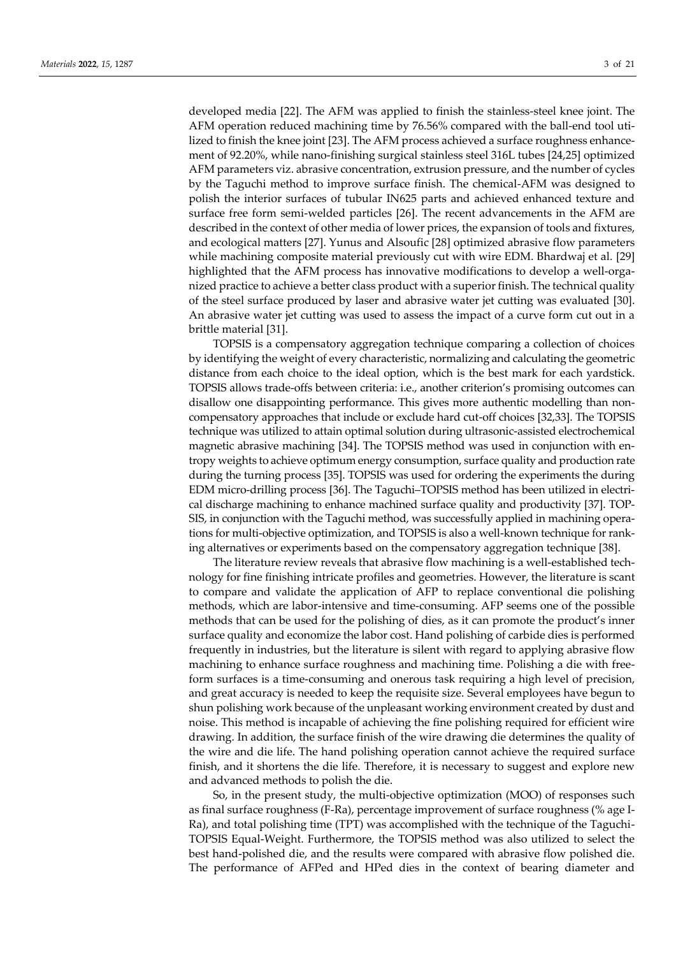developed media [22]. The AFM was applied to finish the stainless-steel knee joint. The AFM operation reduced machining time by 76.56% compared with the ball-end tool utilized to finish the knee joint [23]. The AFM process achieved a surface roughness enhancement of 92.20%, while nano-finishing surgical stainless steel 316L tubes [24,25] optimized AFM parameters viz. abrasive concentration, extrusion pressure, and the number of cycles by the Taguchi method to improve surface finish. The chemical-AFM was designed to polish the interior surfaces of tubular IN625 parts and achieved enhanced texture and surface free form semi-welded particles [26]. The recent advancements in the AFM are described in the context of other media of lower prices, the expansion of tools and fixtures, and ecological matters [27]. Yunus and Alsoufic [28] optimized abrasive flow parameters while machining composite material previously cut with wire EDM. Bhardwaj et al. [29] highlighted that the AFM process has innovative modifications to develop a well-organized practice to achieve a better class product with a superior finish. The technical quality of the steel surface produced by laser and abrasive water jet cutting was evaluated [30]. An abrasive water jet cutting was used to assess the impact of a curve form cut out in a brittle material [31].

TOPSIS is a compensatory aggregation technique comparing a collection of choices by identifying the weight of every characteristic, normalizing and calculating the geometric distance from each choice to the ideal option, which is the best mark for each yardstick. TOPSIS allows trade-offs between criteria: i.e., another criterion's promising outcomes can disallow one disappointing performance. This gives more authentic modelling than noncompensatory approaches that include or exclude hard cut-off choices [32,33]. The TOPSIS technique was utilized to attain optimal solution during ultrasonic-assisted electrochemical magnetic abrasive machining [34]. The TOPSIS method was used in conjunction with entropy weights to achieve optimum energy consumption, surface quality and production rate during the turning process [35]. TOPSIS was used for ordering the experiments the during EDM micro-drilling process [36]. The Taguchi–TOPSIS method has been utilized in electrical discharge machining to enhance machined surface quality and productivity [37]. TOP-SIS, in conjunction with the Taguchi method, was successfully applied in machining operations for multi-objective optimization, and TOPSIS is also a well-known technique for ranking alternatives or experiments based on the compensatory aggregation technique [38].

The literature review reveals that abrasive flow machining is a well-established technology for fine finishing intricate profiles and geometries. However, the literature is scant to compare and validate the application of AFP to replace conventional die polishing methods, which are labor-intensive and time-consuming. AFP seems one of the possible methods that can be used for the polishing of dies, as it can promote the product's inner surface quality and economize the labor cost. Hand polishing of carbide dies is performed frequently in industries, but the literature is silent with regard to applying abrasive flow machining to enhance surface roughness and machining time. Polishing a die with freeform surfaces is a time-consuming and onerous task requiring a high level of precision, and great accuracy is needed to keep the requisite size. Several employees have begun to shun polishing work because of the unpleasant working environment created by dust and noise. This method is incapable of achieving the fine polishing required for efficient wire drawing. In addition, the surface finish of the wire drawing die determines the quality of the wire and die life. The hand polishing operation cannot achieve the required surface finish, and it shortens the die life. Therefore, it is necessary to suggest and explore new and advanced methods to polish the die.

So, in the present study, the multi-objective optimization (MOO) of responses such as final surface roughness (F-Ra), percentage improvement of surface roughness (% age I-Ra), and total polishing time (TPT) was accomplished with the technique of the Taguchi-TOPSIS Equal-Weight. Furthermore, the TOPSIS method was also utilized to select the best hand-polished die, and the results were compared with abrasive flow polished die. The performance of AFPed and HPed dies in the context of bearing diameter and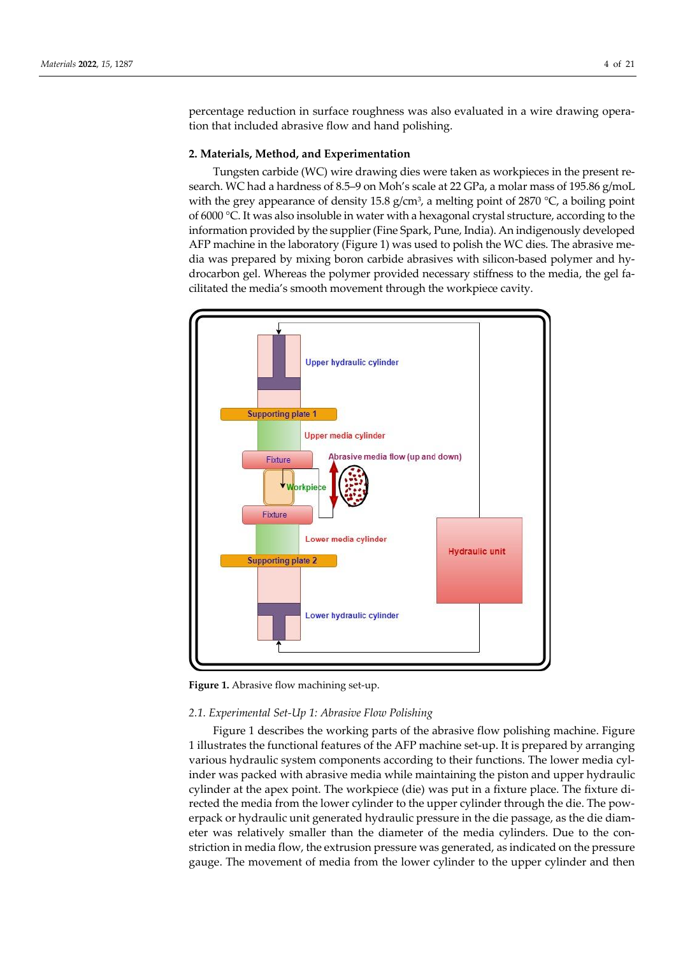percentage reduction in surface roughness was also evaluated in a wire drawing operation that included abrasive flow and hand polishing.

#### **2. Materials, Method, and Experimentation**

Tungsten carbide (WC) wire drawing dies were taken as workpieces in the present research. WC had a hardness of 8.5–9 on Moh's scale at 22 GPa, a molar mass of 195.86 g/moL with the grey appearance of density 15.8  $g/cm^3$ , a melting point of 2870  $\degree$ C, a boiling point of 6000 °C. It was also insoluble in water with a hexagonal crystal structure, according to the information provided by the supplier (Fine Spark, Pune, India). An indigenously developed AFP machine in the laboratory (Figure 1) was used to polish the WC dies. The abrasive media was prepared by mixing boron carbide abrasives with silicon-based polymer and hydrocarbon gel. Whereas the polymer provided necessary stiffness to the media, the gel facilitated the media's smooth movement through the workpiece cavity.



**Figure 1.** Abrasive flow machining set-up.

#### *2.1. Experimental Set-Up 1: Abrasive Flow Polishing*

Figure 1 describes the working parts of the abrasive flow polishing machine. Figure 1 illustrates the functional features of the AFP machine set-up. It is prepared by arranging various hydraulic system components according to their functions. The lower media cylinder was packed with abrasive media while maintaining the piston and upper hydraulic cylinder at the apex point. The workpiece (die) was put in a fixture place. The fixture directed the media from the lower cylinder to the upper cylinder through the die. The powerpack or hydraulic unit generated hydraulic pressure in the die passage, as the die diameter was relatively smaller than the diameter of the media cylinders. Due to the constriction in media flow, the extrusion pressure was generated, as indicated on the pressure gauge. The movement of media from the lower cylinder to the upper cylinder and then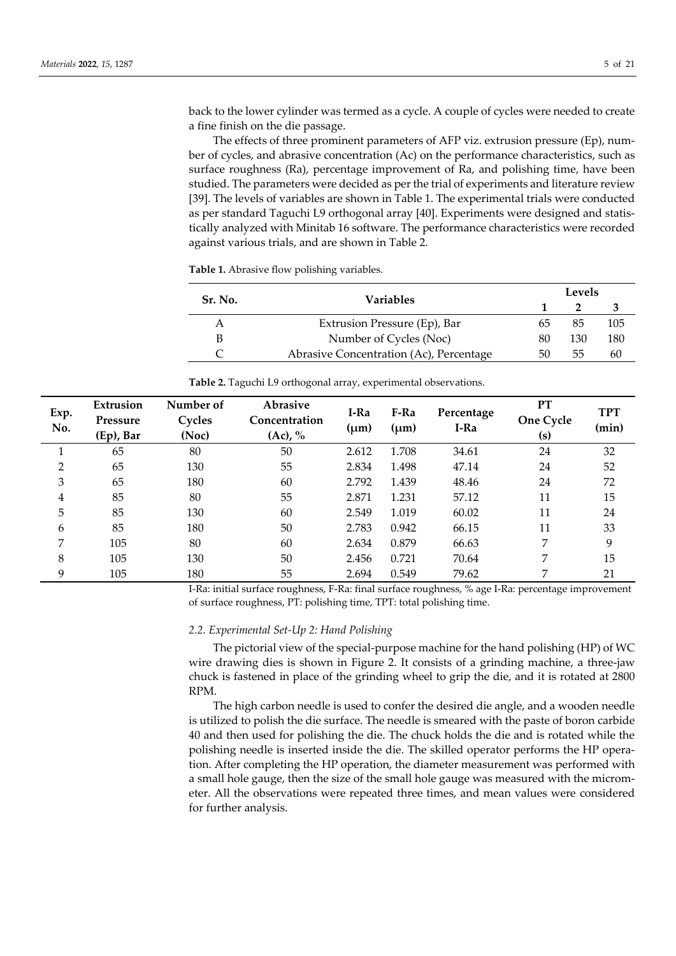back to the lower cylinder was termed as a cycle. A couple of cycles were needed to create a fine finish on the die passage.

The effects of three prominent parameters of AFP viz. extrusion pressure (Ep), number of cycles, and abrasive concentration (Ac) on the performance characteristics, such as surface roughness (Ra), percentage improvement of Ra, and polishing time, have been studied. The parameters were decided as per the trial of experiments and literature review [39]. The levels of variables are shown in Table 1. The experimental trials were conducted as per standard Taguchi L9 orthogonal array [40]. Experiments were designed and statistically analyzed with Minitab 16 software. The performance characteristics were recorded against various trials, and are shown in Table 2.

**Table 1.** Abrasive flow polishing variables.

| Sr. No. | <b>Variables</b>                        | Levels |     |     |  |
|---------|-----------------------------------------|--------|-----|-----|--|
|         |                                         |        |     |     |  |
|         | Extrusion Pressure (Ep), Bar            | 65     | 85  | 105 |  |
| B       | Number of Cycles (Noc)                  | 80     | 130 | 180 |  |
|         | Abrasive Concentration (Ac), Percentage | 50     | לל  | 60  |  |

| Exp.<br>No. | Extrusion<br>Pressure<br>(Ep), Bar | Number of<br>Cycles<br>(Noc) | <b>Abrasive</b><br>Concentration<br>$(Ac)$ , % | I-Ra<br>$(\mu m)$ | F-Ra<br>$(\mu m)$ | Percentage<br>I-Ra | PT<br>One Cycle<br>(s) | <b>TPT</b><br>(min) |
|-------------|------------------------------------|------------------------------|------------------------------------------------|-------------------|-------------------|--------------------|------------------------|---------------------|
|             | 65                                 | 80                           | 50                                             | 2.612             | 1.708             | 34.61              | 24                     | 32                  |
| 2           | 65                                 | 130                          | 55                                             | 2.834             | 1.498             | 47.14              | 24                     | 52                  |
| 3           | 65                                 | 180                          | 60                                             | 2.792             | 1.439             | 48.46              | 24                     | 72                  |
| 4           | 85                                 | 80                           | 55                                             | 2.871             | 1.231             | 57.12              | 11                     | 15                  |
| 5           | 85                                 | 130                          | 60                                             | 2.549             | 1.019             | 60.02              | 11                     | 24                  |
| 6           | 85                                 | 180                          | 50                                             | 2.783             | 0.942             | 66.15              | 11                     | 33                  |
| 7           | 105                                | 80                           | 60                                             | 2.634             | 0.879             | 66.63              | 7                      | 9                   |
| 8           | 105                                | 130                          | 50                                             | 2.456             | 0.721             | 70.64              | 7                      | 15                  |

9 105 180 55 2.694 0.549 79.62 7 21

**Table 2.** Taguchi L9 orthogonal array, experimental observations.

I-Ra: initial surface roughness, F-Ra: final surface roughness, % age I-Ra: percentage improvement of surface roughness, PT: polishing time, TPT: total polishing time.

#### *2.2. Experimental Set-Up 2: Hand Polishing*

The pictorial view of the special-purpose machine for the hand polishing (HP) of WC wire drawing dies is shown in Figure 2. It consists of a grinding machine, a three-jaw chuck is fastened in place of the grinding wheel to grip the die, and it is rotated at 2800 RPM.

The high carbon needle is used to confer the desired die angle, and a wooden needle is utilized to polish the die surface. The needle is smeared with the paste of boron carbide 40 and then used for polishing the die. The chuck holds the die and is rotated while the polishing needle is inserted inside the die. The skilled operator performs the HP operation. After completing the HP operation, the diameter measurement was performed with a small hole gauge, then the size of the small hole gauge was measured with the micrometer. All the observations were repeated three times, and mean values were considered for further analysis.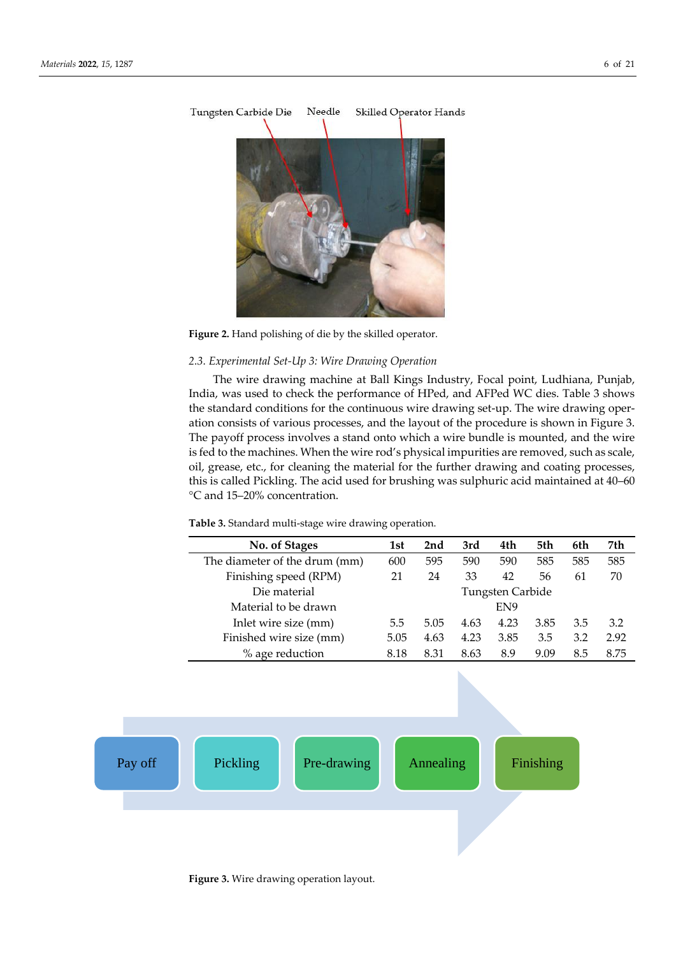

Figure 2. Hand polishing of die by the skilled operator.

## *2.3. Experimental Set-Up 3: Wire Drawing Operation*

The wire drawing machine at Ball Kings Industry, Focal point, Ludhiana, Punjab, India, was used to check the performance of HPed, and AFPed WC dies. Table 3 shows the standard conditions for the continuous wire drawing set-up. The wire drawing operation consists of various processes, and the layout of the procedure is shown in Figure 3. The payoff process involves a stand onto which a wire bundle is mounted, and the wire is fed to the machines. When the wire rod's physical impurities are removed, such as scale, oil, grease, etc., for cleaning the material for the further drawing and coating processes, this is called Pickling. The acid used for brushing was sulphuric acid maintained at 40–60 °C and 15–20% concentration.

**Table 3.** Standard multi-stage wire drawing operation.

| No. of Stages                 | 1st  | 2nd  | 3rd  | 4th              | 5th  | 6th | 7th  |
|-------------------------------|------|------|------|------------------|------|-----|------|
| The diameter of the drum (mm) | 600  | 595  | 590  | 590              | 585  | 585 | 585  |
| Finishing speed (RPM)         | 21   | 24   | 33   | 42               | 56   | 61  | 70   |
| Die material                  |      |      |      | Tungsten Carbide |      |     |      |
| Material to be drawn          |      |      |      | EN <sub>9</sub>  |      |     |      |
| Inlet wire size (mm)          | 5.5  | 5.05 | 4.63 | 4.23             | 3.85 | 3.5 | 3.2  |
| Finished wire size (mm)       | 5.05 | 4.63 | 4.23 | 3.85             | 3.5  | 3.2 | 2.92 |
| % age reduction               | 8.18 | 8.31 | 8.63 | 8.9              | 9.09 | 8.5 | 8.75 |



**Figure 3.** Wire drawing operation layout.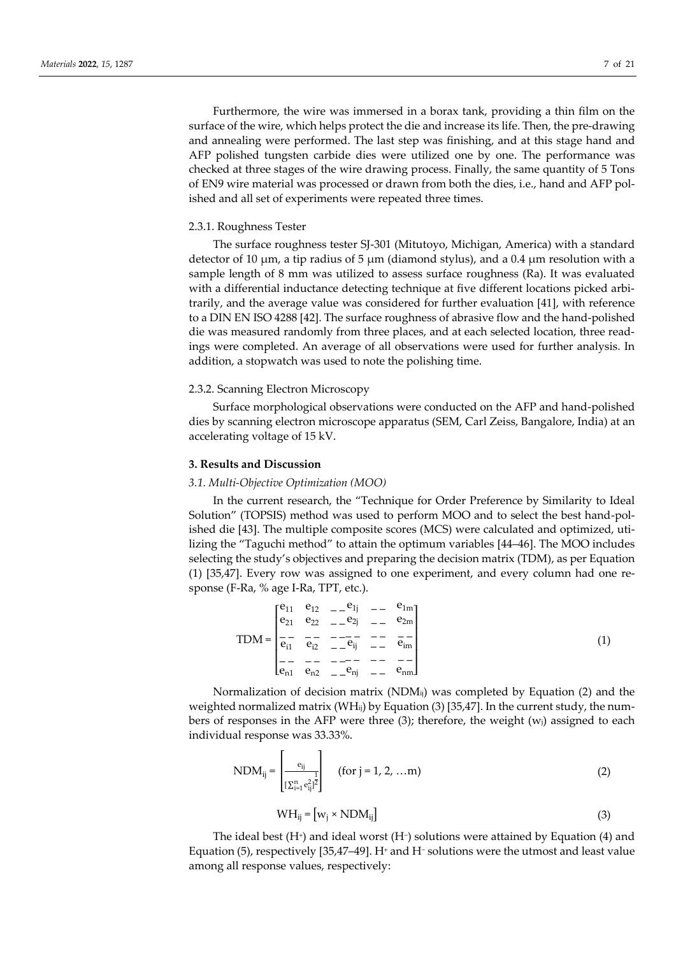Furthermore, the wire was immersed in a borax tank, providing a thin film on the surface of the wire, which helps protect the die and increase its life. Then, the pre-drawing and annealing were performed. The last step was finishing, and at this stage hand and AFP polished tungsten carbide dies were utilized one by one. The performance was checked at three stages of the wire drawing process. Finally, the same quantity of 5 Tons of EN9 wire material was processed or drawn from both the dies, i.e., hand and AFP polished and all set of experiments were repeated three times.

#### 2.3.1. Roughness Tester

The surface roughness tester SJ-301 (Mitutoyo, Michigan, America) with a standard detector of 10 μm, a tip radius of 5 μm (diamond stylus), and a 0.4 μm resolution with a sample length of 8 mm was utilized to assess surface roughness (Ra). It was evaluated with a differential inductance detecting technique at five different locations picked arbitrarily, and the average value was considered for further evaluation [41], with reference to a DIN EN ISO 4288 [42]. The surface roughness of abrasive flow and the hand-polished die was measured randomly from three places, and at each selected location, three readings were completed. An average of all observations were used for further analysis. In addition, a stopwatch was used to note the polishing time.

## 2.3.2. Scanning Electron Microscopy

Surface morphological observations were conducted on the AFP and hand-polished dies by scanning electron microscope apparatus (SEM, Carl Zeiss, Bangalore, India) at an accelerating voltage of 15 kV.

## **3. Results and Discussion**

#### *3.1. Multi-Objective Optimization (MOO)*

In the current research, the "Technique for Order Preference by Similarity to Ideal Solution" (TOPSIS) method was used to perform MOO and to select the best hand-polished die [43]. The multiple composite scores (MCS) were calculated and optimized, utilizing the "Taguchi method" to attain the optimum variables [44–46]. The MOO includes selecting the study's objectives and preparing the decision matrix (TDM), as per Equation (1) [35,47]. Every row was assigned to one experiment, and every column had one response (F-Ra, % age I-Ra, TPT, etc.).

$$
TDM = \begin{bmatrix} e_{11} & e_{12} & -e_{1j} & -e_{1m} \\ e_{21} & e_{22} & -e_{2j} & -e_{2m} \\ \frac{1}{e_{11}} & \frac{1}{e_{12}} & -e_{1j} & -e_{1j} \\ \frac{1}{e_{11}} & \frac{1}{e_{12}} & -e_{1j} & -e_{1j} \\ \frac{1}{e_{11}} & \frac{1}{e_{12}} & -e_{1j} & -e_{1j} \\ \frac{1}{e_{11}} & \frac{1}{e_{12}} & -e_{1j} & -e_{1j} \end{bmatrix}
$$
(1)

Normalization of decision matrix ( $NDM_{ii}$ ) was completed by Equation (2) and the weighted normalized matrix (WH<sub>ij</sub>) by Equation (3) [35,47]. In the current study, the numbers of responses in the AFP were three  $(3)$ ; therefore, the weight  $(w<sub>j</sub>)$  assigned to each individual response was 33.33%.

$$
NDM_{ij} = \begin{bmatrix} e_{ij} \\ \frac{1}{[\sum_{i=1}^{n} e_{ij}^{2}]^{2}} \end{bmatrix} \quad \text{(for } j = 1, 2, ...m \text{)}
$$
 (2)

$$
WH_{ij} = [w_j \times NDM_{ij}]
$$
 (3)

The ideal best  $(H<sup>+</sup>)$  and ideal worst  $(H<sup>-</sup>)$  solutions were attained by Equation (4) and Equation (5), respectively [35,47–49]. H<sup>+</sup> and H<sup>−</sup> solutions were the utmost and least value among all response values, respectively: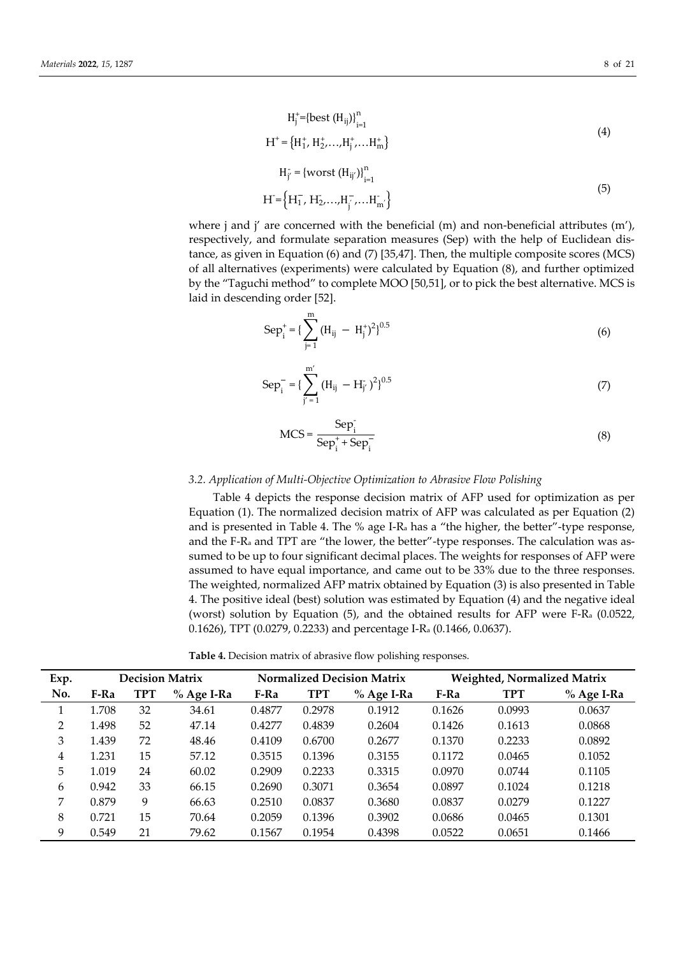$$
H_j^+ = {\text{best}(H_{ij})}^n_{i=1}
$$
 (4)

$$
H^+ = \{H_1^+, H_2^+, \dots, H_j^+, \dots H_m^+\}
$$

$$
H_{j'} = \{ \text{worst } (H_{ij'}) \}_{i=1}^{n}
$$
  

$$
H = \left\{ H_1^-, H_2^-, \dots, H_{j'}^-, \dots H_{m'}^- \right\}
$$
 (5)

where j and j' are concerned with the beneficial  $(m)$  and non-beneficial attributes  $(m')$ , respectively, and formulate separation measures (Sep) with the help of Euclidean distance, as given in Equation (6) and (7) [35,47]. Then, the multiple composite scores (MCS) of all alternatives (experiments) were calculated by Equation (8), and further optimized by the "Taguchi method" to complete MOO [50,51], or to pick the best alternative. MCS is laid in descending order [52].

$$
Sep_i^+ = \left\{ \sum_{j=1}^m \left( H_{ij} - H_j^+ \right)^2 \right\}^{0.5}
$$
 (6)

$$
Sep_i^- = \left\{ \sum_{j'=1}^{m'} (H_{ij} - H_{j'}^-)^2 \right\}^{0.5}
$$
 (7)

$$
MCS = \frac{Sep_i^-}{Sep_i^+ + Sep_i^-}
$$
 (8)

## *3.2. Application of Multi-Objective Optimization to Abrasive Flow Polishing*

Table 4 depicts the response decision matrix of AFP used for optimization as per Equation (1). The normalized decision matrix of AFP was calculated as per Equation (2) and is presented in Table 4. The % age I-R<sup>a</sup> has a "the higher, the better"-type response, and the F-R<sup>a</sup> and TPT are "the lower, the better"-type responses. The calculation was assumed to be up to four significant decimal places. The weights for responses of AFP were assumed to have equal importance, and came out to be 33% due to the three responses. The weighted, normalized AFP matrix obtained by Equation (3) is also presented in Table 4. The positive ideal (best) solution was estimated by Equation (4) and the negative ideal (worst) solution by Equation (5), and the obtained results for AFP were F-R<sup>a</sup> (0.0522, 0.1626), TPT (0.0279, 0.2233) and percentage I-R<sup>a</sup> (0.1466, 0.0637).

**Table 4.** Decision matrix of abrasive flow polishing responses.

| Exp. |       |            | <b>Decision Matrix</b> | <b>Normalized Decision Matrix</b> |            |              | <b>Weighted, Normalized Matrix</b> |            |            |
|------|-------|------------|------------------------|-----------------------------------|------------|--------------|------------------------------------|------------|------------|
| No.  | F-Ra  | <b>TPT</b> | $%$ Age I-Ra           | F-Ra                              | <b>TPT</b> | $%$ Age I-Ra | F-Ra                               | <b>TPT</b> | % Age I-Ra |
|      | 1.708 | 32         | 34.61                  | 0.4877                            | 0.2978     | 0.1912       | 0.1626                             | 0.0993     | 0.0637     |
| 2    | 1.498 | 52         | 47.14                  | 0.4277                            | 0.4839     | 0.2604       | 0.1426                             | 0.1613     | 0.0868     |
| 3    | 1.439 | 72         | 48.46                  | 0.4109                            | 0.6700     | 0.2677       | 0.1370                             | 0.2233     | 0.0892     |
| 4    | 1.231 | 15         | 57.12                  | 0.3515                            | 0.1396     | 0.3155       | 0.1172                             | 0.0465     | 0.1052     |
| 5    | 1.019 | 24         | 60.02                  | 0.2909                            | 0.2233     | 0.3315       | 0.0970                             | 0.0744     | 0.1105     |
| 6    | 0.942 | 33         | 66.15                  | 0.2690                            | 0.3071     | 0.3654       | 0.0897                             | 0.1024     | 0.1218     |
| 7    | 0.879 | 9          | 66.63                  | 0.2510                            | 0.0837     | 0.3680       | 0.0837                             | 0.0279     | 0.1227     |
| 8    | 0.721 | 15         | 70.64                  | 0.2059                            | 0.1396     | 0.3902       | 0.0686                             | 0.0465     | 0.1301     |
| 9    | 0.549 | 21         | 79.62                  | 0.1567                            | 0.1954     | 0.4398       | 0.0522                             | 0.0651     | 0.1466     |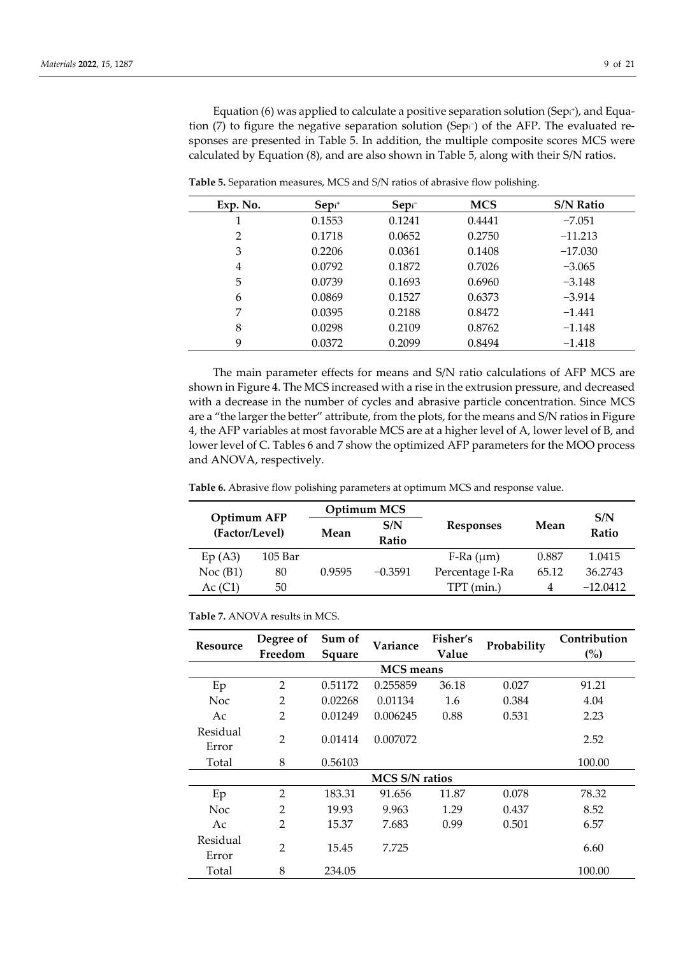Equation (6) was applied to calculate a positive separation solution (Sepi<sup>+</sup>), and Equation (7) to figure the negative separation solution (Sep1−) of the AFP. The evaluated responses are presented in Table 5. In addition, the multiple composite scores MCS were calculated by Equation (8), and are also shown in Table 5, along with their S/N ratios.

| Exp. No. | $Sep+$ | $Sepi^-$ | <b>MCS</b> | <b>S/N Ratio</b> |
|----------|--------|----------|------------|------------------|
| 1        | 0.1553 | 0.1241   | 0.4441     | $-7.051$         |
| 2        | 0.1718 | 0.0652   | 0.2750     | $-11.213$        |
| 3        | 0.2206 | 0.0361   | 0.1408     | $-17.030$        |
| 4        | 0.0792 | 0.1872   | 0.7026     | $-3.065$         |
| 5        | 0.0739 | 0.1693   | 0.6960     | $-3.148$         |
| 6        | 0.0869 | 0.1527   | 0.6373     | $-3.914$         |
| 7        | 0.0395 | 0.2188   | 0.8472     | $-1.441$         |
| 8        | 0.0298 | 0.2109   | 0.8762     | $-1.148$         |
| 9        | 0.0372 | 0.2099   | 0.8494     | $-1.418$         |

**Table 5.** Separation measures, MCS and S/N ratios of abrasive flow polishing.

The main parameter effects for means and S/N ratio calculations of AFP MCS are shown in Figure 4. The MCS increased with a rise in the extrusion pressure, and decreased with a decrease in the number of cycles and abrasive particle concentration. Since MCS are a "the larger the better" attribute, from the plots, for the means and S/N ratios in Figure 4, the AFP variables at most favorable MCS are at a higher level of A, lower level of B, and lower level of C. Tables 6 and 7 show the optimized AFP parameters for the MOO process and ANOVA, respectively.

**Table 6.** Abrasive flow polishing parameters at optimum MCS and response value.

| Optimum AFP<br>(Factor/Level) |         |             | Optimum MCS |                   |       | S/N        |
|-------------------------------|---------|-------------|-------------|-------------------|-------|------------|
|                               |         | S/N<br>Mean |             | <b>Responses</b>  | Mean  | Ratio      |
|                               |         |             | Ratio       |                   |       |            |
| Ep(A3)                        | 105 Bar |             |             | $F-Ra$ ( $\mu$ m) | 0.887 | 1.0415     |
| Noc(B1)                       | 80      | 0.9595      | $-0.3591$   | Percentage I-Ra   | 65.12 | 36.2743    |
| Ac (C1)                       | 50      |             |             | (min.)<br>TPT     | 4     | $-12.0412$ |

| <b>Table 7.</b> ANOVA results in MCS. |
|---------------------------------------|
|---------------------------------------|

| Resource | Degree of      | Sum of  | Variance              | Fisher's | Probability | Contribution |
|----------|----------------|---------|-----------------------|----------|-------------|--------------|
|          | Freedom        | Square  |                       | Value    |             | (%)          |
|          |                |         | <b>MCS</b> means      |          |             |              |
| Ep       | $\overline{2}$ | 0.51172 | 0.255859              | 36.18    | 0.027       | 91.21        |
| Noc      | $\overline{2}$ | 0.02268 | 0.01134               | 1.6      | 0.384       | 4.04         |
| Ac       | $\overline{2}$ | 0.01249 | 0.006245              | 0.88     | 0.531       | 2.23         |
| Residual | $\overline{2}$ |         |                       |          |             |              |
| Error    |                | 0.01414 | 0.007072              |          |             | 2.52         |
| Total    | 8              | 0.56103 |                       |          |             | 100.00       |
|          |                |         | <b>MCS S/N ratios</b> |          |             |              |
| Ep       | $\overline{2}$ | 183.31  | 91.656                | 11.87    | 0.078       | 78.32        |
| Noc      | $\overline{2}$ | 19.93   | 9.963                 | 1.29     | 0.437       | 8.52         |
| Ac       | $\overline{2}$ | 15.37   | 7.683                 | 0.99     | 0.501       | 6.57         |
| Residual |                |         |                       |          |             |              |
| Error    | $\overline{2}$ | 15.45   | 7.725                 |          |             | 6.60         |
| Total    | 8              | 234.05  |                       |          |             | 100.00       |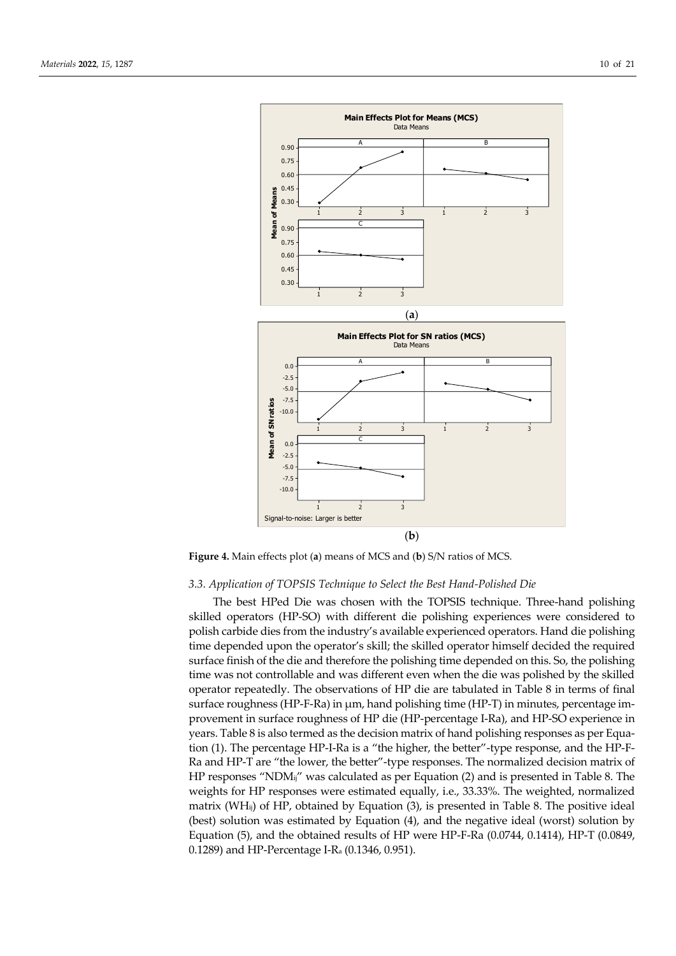

**Figure 4.** Main effects plot (**a**) means of MCS and (**b**) S/N ratios of MCS.

## *3.3. Application of TOPSIS Technique to Select the Best Hand-Polished Die*

The best HPed Die was chosen with the TOPSIS technique. Three-hand polishing skilled operators (HP-SO) with different die polishing experiences were considered to polish carbide dies from the industry's available experienced operators. Hand die polishing time depended upon the operator's skill; the skilled operator himself decided the required surface finish of the die and therefore the polishing time depended on this. So, the polishing time was not controllable and was different even when the die was polished by the skilled operator repeatedly. The observations of HP die are tabulated in Table 8 in terms of final surface roughness (HP-F-Ra) in µm, hand polishing time (HP-T) in minutes, percentage improvement in surface roughness of HP die (HP-percentage I-Ra), and HP-SO experience in years. Table 8 is also termed as the decision matrix of hand polishing responses as per Equation (1). The percentage HP-I-Ra is a "the higher, the better"-type response, and the HP-F-Ra and HP-T are "the lower, the better"-type responses. The normalized decision matrix of HP responses "NDMij" was calculated as per Equation (2) and is presented in Table 8. The weights for HP responses were estimated equally, i.e., 33.33%. The weighted, normalized matrix (WHij) of HP, obtained by Equation (3), is presented in Table 8. The positive ideal (best) solution was estimated by Equation (4), and the negative ideal (worst) solution by Equation (5), and the obtained results of HP were HP-F-Ra (0.0744, 0.1414), HP-T (0.0849, 0.1289) and HP-Percentage I-R<sup>a</sup> (0.1346, 0.951).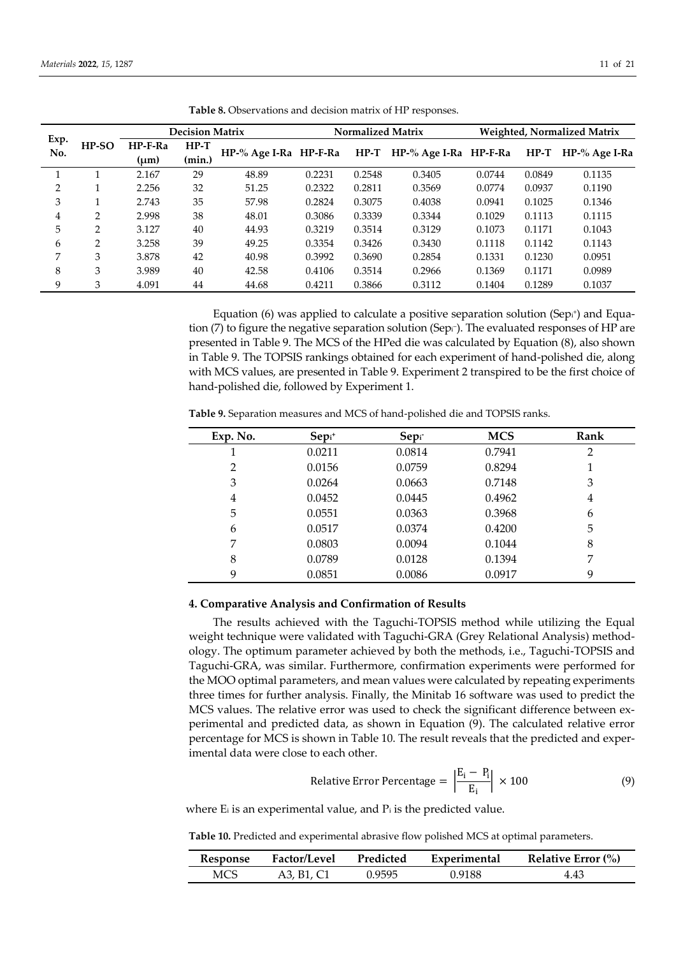|             |                | <b>Decision Matrix</b> |                  |                       | <b>Normalized Matrix</b> |        |                       | <b>Weighted, Normalized Matrix</b> |        |               |
|-------------|----------------|------------------------|------------------|-----------------------|--------------------------|--------|-----------------------|------------------------------------|--------|---------------|
| Exp.<br>No. | $HP-SO$        | $HP-F-Ra$<br>(um)      | $HP-T$<br>(min.) | HP-% Age I-Ra HP-F-Ra |                          | $HP-T$ | HP-% Age I-Ra HP-F-Ra |                                    | $HP-T$ | HP-% Age I-Ra |
|             |                | 2.167                  | 29               | 48.89                 | 0.2231                   | 0.2548 | 0.3405                | 0.0744                             | 0.0849 | 0.1135        |
| ∍           |                | 2.256                  | 32               | 51.25                 | 0.2322                   | 0.2811 | 0.3569                | 0.0774                             | 0.0937 | 0.1190        |
| 3           |                | 2.743                  | 35               | 57.98                 | 0.2824                   | 0.3075 | 0.4038                | 0.0941                             | 0.1025 | 0.1346        |
| 4           | $\overline{2}$ | 2.998                  | 38               | 48.01                 | 0.3086                   | 0.3339 | 0.3344                | 0.1029                             | 0.1113 | 0.1115        |
| 5           | $\mathcal{P}$  | 3.127                  | 40               | 44.93                 | 0.3219                   | 0.3514 | 0.3129                | 0.1073                             | 0.1171 | 0.1043        |
| 6           | 2              | 3.258                  | 39               | 49.25                 | 0.3354                   | 0.3426 | 0.3430                | 0.1118                             | 0.1142 | 0.1143        |
| 7           | 3              | 3.878                  | 42               | 40.98                 | 0.3992                   | 0.3690 | 0.2854                | 0.1331                             | 0.1230 | 0.0951        |
| 8           | 3              | 3.989                  | 40               | 42.58                 | 0.4106                   | 0.3514 | 0.2966                | 0.1369                             | 0.1171 | 0.0989        |
| 9           | 3              | 4.091                  | 44               | 44.68                 | 0.4211                   | 0.3866 | 0.3112                | 0.1404                             | 0.1289 | 0.1037        |

**Table 8.** Observations and decision matrix of HP responses.

Equation (6) was applied to calculate a positive separation solution (Sep $_i^*$ ) and Equation (7) to figure the negative separation solution (Sepi<sup>-</sup>). The evaluated responses of HP are presented in Table 9. The MCS of the HPed die was calculated by Equation (8), also shown in Table 9. The TOPSIS rankings obtained for each experiment of hand-polished die, along with MCS values, are presented in Table 9. Experiment 2 transpired to be the first choice of hand-polished die, followed by Experiment 1.

| Exp. No. | $Sepi$ + | Sep <sub>i</sub> | <b>MCS</b> | Rank |
|----------|----------|------------------|------------|------|
|          | 0.0211   | 0.0814           | 0.7941     | 2    |
| 2        | 0.0156   | 0.0759           | 0.8294     |      |
| 3        | 0.0264   | 0.0663           | 0.7148     | 3    |
| 4        | 0.0452   | 0.0445           | 0.4962     | 4    |
| 5        | 0.0551   | 0.0363           | 0.3968     | 6    |
| 6        | 0.0517   | 0.0374           | 0.4200     | 5    |
| 7        | 0.0803   | 0.0094           | 0.1044     | 8    |
| 8        | 0.0789   | 0.0128           | 0.1394     | 7    |
| 9        | 0.0851   | 0.0086           | 0.0917     | 9    |

**Table 9.** Separation measures and MCS of hand-polished die and TOPSIS ranks.

## **4. Comparative Analysis and Confirmation of Results**

The results achieved with the Taguchi-TOPSIS method while utilizing the Equal weight technique were validated with Taguchi-GRA (Grey Relational Analysis) methodology. The optimum parameter achieved by both the methods, i.e., Taguchi-TOPSIS and Taguchi-GRA, was similar. Furthermore, confirmation experiments were performed for the MOO optimal parameters, and mean values were calculated by repeating experiments three times for further analysis. Finally, the Minitab 16 software was used to predict the MCS values. The relative error was used to check the significant difference between experimental and predicted data, as shown in Equation (9). The calculated relative error percentage for MCS is shown in Table 10. The result reveals that the predicted and experimental data were close to each other.

Relative Error Percentage = 
$$
\left| \frac{E_i - P_i}{E_i} \right| \times 100
$$
 (9)

where E<sub>i</sub> is an experimental value, and P<sub>i</sub> is the predicted value.

**Table 10.** Predicted and experimental abrasive flow polished MCS at optimal parameters.

| Response   | <b>Factor/Level</b> | Predicted | Experimental | Relative Error $\frac{6}{6}$ |
|------------|---------------------|-----------|--------------|------------------------------|
| <b>MCS</b> | A3. B1. C1          | 0.9595    | 0.9188       | 4.43                         |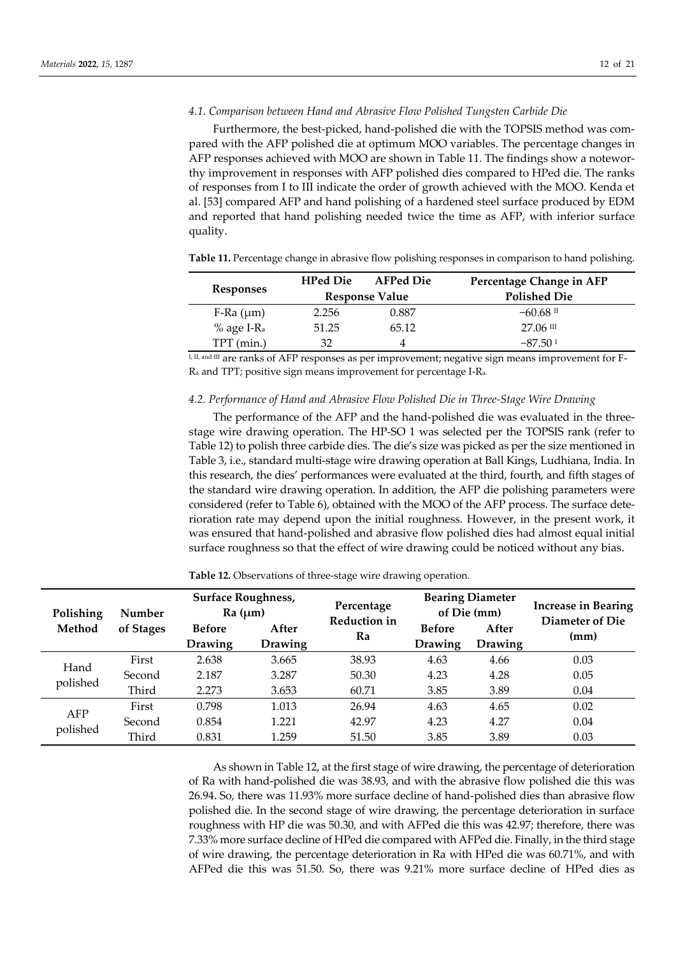## *4.1. Comparison between Hand and Abrasive Flow Polished Tungsten Carbide Die*

Furthermore, the best-picked, hand-polished die with the TOPSIS method was compared with the AFP polished die at optimum MOO variables. The percentage changes in AFP responses achieved with MOO are shown in Table 11. The findings show a noteworthy improvement in responses with AFP polished dies compared to HPed die. The ranks of responses from I to III indicate the order of growth achieved with the MOO. Kenda et al. [53] compared AFP and hand polishing of a hardened steel surface produced by EDM and reported that hand polishing needed twice the time as AFP, with inferior surface quality.

**Table 11.** Percentage change in abrasive flow polishing responses in comparison to hand polishing.

|                          | <b>HPed Die</b> | <b>AFPed Die</b>      | Percentage Change in AFP |
|--------------------------|-----------------|-----------------------|--------------------------|
| <b>Responses</b>         |                 | <b>Response Value</b> | <b>Polished Die</b>      |
| $F-Ra$ ( $\mu$ m)        | 2.256           | 0.887                 | $-60.68$ II              |
| $%$ age I-R <sub>a</sub> | 51.25           | 65.12                 | $27.06 \text{ m}$        |
| TPT (min.)               | 32              |                       | $-87.501$                |
|                          |                 |                       |                          |

I, II, and III are ranks of AFP responses as per improvement; negative sign means improvement for F-R<sup>a</sup> and TPT; positive sign means improvement for percentage I-Ra.

#### *4.2. Performance of Hand and Abrasive Flow Polished Die in Three-Stage Wire Drawing*

The performance of the AFP and the hand-polished die was evaluated in the threestage wire drawing operation. The HP-SO 1 was selected per the TOPSIS rank (refer to Table 12) to polish three carbide dies. The die's size was picked as per the size mentioned in Table 3, i.e., standard multi-stage wire drawing operation at Ball Kings, Ludhiana, India. In this research, the dies' performances were evaluated at the third, fourth, and fifth stages of the standard wire drawing operation. In addition, the AFP die polishing parameters were considered (refer to Table 6), obtained with the MOO of the AFP process. The surface deterioration rate may depend upon the initial roughness. However, in the present work, it was ensured that hand-polished and abrasive flow polished dies had almost equal initial surface roughness so that the effect of wire drawing could be noticed without any bias.

**Table 12.** Observations of three-stage wire drawing operation.

| Polishing<br>Method | <b>Number</b><br>of Stages | <b>Surface Roughness,</b><br>Ra (µm) |                         | Percentage<br>Reduction in | <b>Bearing Diameter</b><br>of Die (mm) |                         | <b>Increase in Bearing</b><br>Diameter of Die |
|---------------------|----------------------------|--------------------------------------|-------------------------|----------------------------|----------------------------------------|-------------------------|-----------------------------------------------|
|                     |                            | <b>Before</b><br><b>Drawing</b>      | After<br><b>Drawing</b> | Ra                         | <b>Before</b><br>Drawing               | After<br><b>Drawing</b> | (mm)                                          |
| Hand<br>polished    | First                      | 2.638                                | 3.665                   | 38.93                      | 4.63                                   | 4.66                    | 0.03                                          |
|                     | Second                     | 2.187                                | 3.287                   | 50.30                      | 4.23                                   | 4.28                    | 0.05                                          |
|                     | Third                      | 2.273                                | 3.653                   | 60.71                      | 3.85                                   | 3.89                    | 0.04                                          |
| AFP<br>polished     | First                      | 0.798                                | 1.013                   | 26.94                      | 4.63                                   | 4.65                    | 0.02                                          |
|                     | Second                     | 0.854                                | 1.221                   | 42.97                      | 4.23                                   | 4.27                    | 0.04                                          |
|                     | Third                      | 0.831                                | 1.259                   | 51.50                      | 3.85                                   | 3.89                    | 0.03                                          |

As shown in Table 12, at the first stage of wire drawing, the percentage of deterioration of Ra with hand-polished die was 38.93, and with the abrasive flow polished die this was 26.94. So, there was 11.93% more surface decline of hand-polished dies than abrasive flow polished die. In the second stage of wire drawing, the percentage deterioration in surface roughness with HP die was 50.30, and with AFPed die this was 42.97; therefore, there was 7.33% more surface decline of HPed die compared with AFPed die. Finally, in the third stage of wire drawing, the percentage deterioration in Ra with HPed die was 60.71%, and with AFPed die this was 51.50. So, there was 9.21% more surface decline of HPed dies as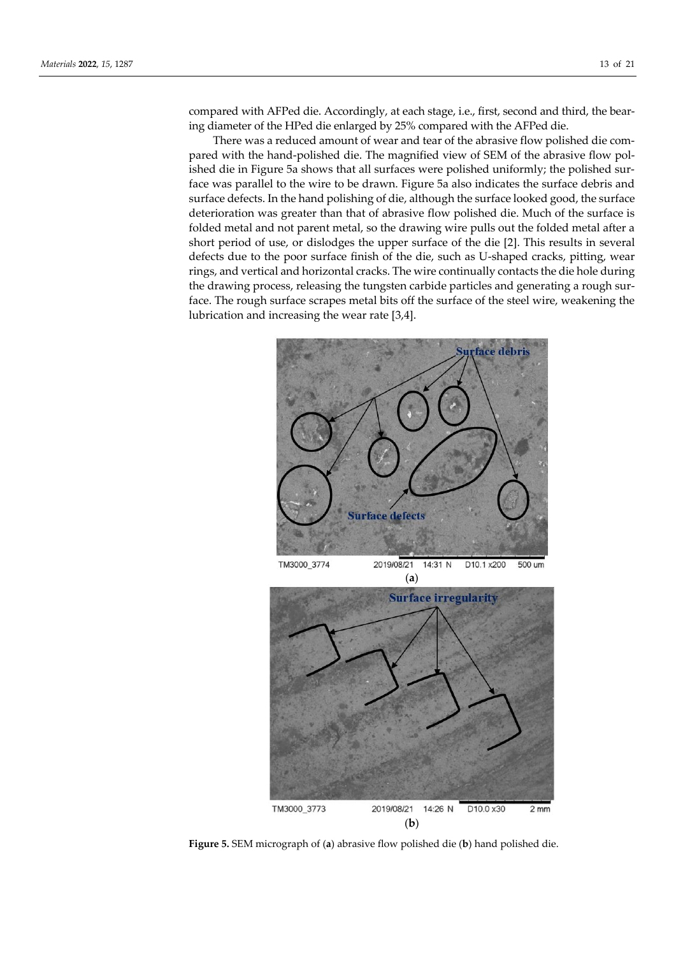compared with AFPed die. Accordingly, at each stage, i.e., first, second and third, the bearing diameter of the HPed die enlarged by 25% compared with the AFPed die.

There was a reduced amount of wear and tear of the abrasive flow polished die compared with the hand-polished die. The magnified view of SEM of the abrasive flow polished die in Figure 5a shows that all surfaces were polished uniformly; the polished surface was parallel to the wire to be drawn. Figure 5a also indicates the surface debris and surface defects. In the hand polishing of die, although the surface looked good, the surface deterioration was greater than that of abrasive flow polished die. Much of the surface is folded metal and not parent metal, so the drawing wire pulls out the folded metal after a short period of use, or dislodges the upper surface of the die [2]. This results in several defects due to the poor surface finish of the die, such as U-shaped cracks, pitting, wear rings, and vertical and horizontal cracks. The wire continually contacts the die hole during the drawing process, releasing the tungsten carbide particles and generating a rough surface. The rough surface scrapes metal bits off the surface of the steel wire, weakening the lubrication and increasing the wear rate [3,4].



**Figure 5.** SEM micrograph of (**a**) abrasive flow polished die (**b**) hand polished die.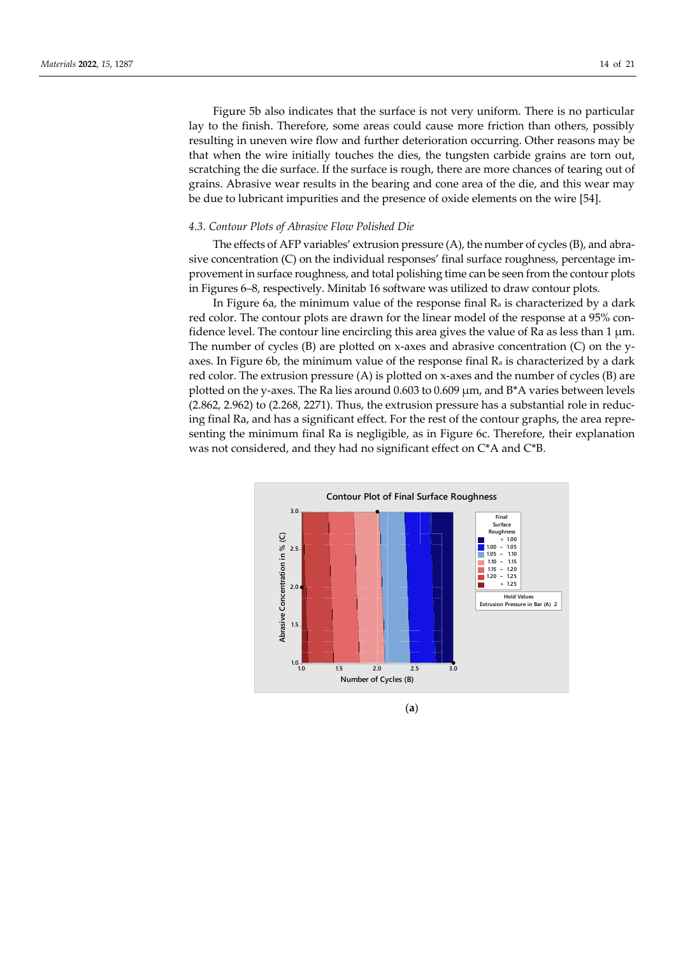Figure 5b also indicates that the surface is not very uniform. There is no particular lay to the finish. Therefore, some areas could cause more friction than others, possibly resulting in uneven wire flow and further deterioration occurring. Other reasons may be that when the wire initially touches the dies, the tungsten carbide grains are torn out, scratching the die surface. If the surface is rough, there are more chances of tearing out of grains. Abrasive wear results in the bearing and cone area of the die, and this wear may be due to lubricant impurities and the presence of oxide elements on the wire [54].

#### *4.3. Contour Plots of Abrasive Flow Polished Die*

The effects of AFP variables' extrusion pressure (A), the number of cycles (B), and abrasive concentration (C) on the individual responses' final surface roughness, percentage improvement in surface roughness, and total polishing time can be seen from the contour plots in Figures 6–8, respectively. Minitab 16 software was utilized to draw contour plots.

In Figure 6a, the minimum value of the response final  $R_a$  is characterized by a dark red color. The contour plots are drawn for the linear model of the response at a 95% confidence level. The contour line encircling this area gives the value of Ra as less than  $1 \mu m$ . The number of cycles (B) are plotted on x-axes and abrasive concentration (C) on the yaxes. In Figure 6b, the minimum value of the response final  $R_a$  is characterized by a dark red color. The extrusion pressure (A) is plotted on x-axes and the number of cycles (B) are plotted on the y-axes. The Ra lies around  $0.603$  to  $0.609$   $\mu$ m, and  $B^*A$  varies between levels (2.862, 2.962) to (2.268, 2271). Thus, the extrusion pressure has a substantial role in reducing final Ra, and has a significant effect. For the rest of the contour graphs, the area representing the minimum final Ra is negligible, as in Figure 6c. Therefore, their explanation was not considered, and they had no significant effect on C\*A and C\*B.



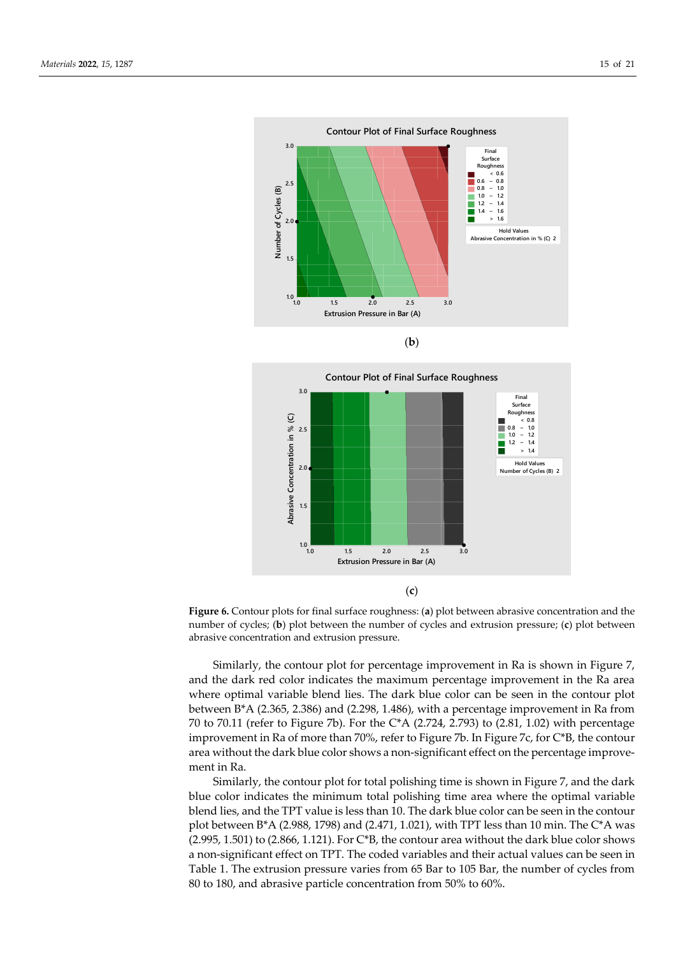



**Figure 6.** Contour plots for final surface roughness: (**a**) plot between abrasive concentration and the number of cycles; (**b**) plot between the number of cycles and extrusion pressure; (**c**) plot between abrasive concentration and extrusion pressure.

Similarly, the contour plot for percentage improvement in Ra is shown in Figure 7, and the dark red color indicates the maximum percentage improvement in the Ra area where optimal variable blend lies. The dark blue color can be seen in the contour plot between B\*A (2.365, 2.386) and (2.298, 1.486), with a percentage improvement in Ra from 70 to 70.11 (refer to Figure 7b). For the C\*A (2.724, 2.793) to (2.81, 1.02) with percentage improvement in Ra of more than 70%, refer to Figure 7b. In Figure 7c, for C\*B, the contour area without the dark blue color shows a non-significant effect on the percentage improvement in Ra.

Similarly, the contour plot for total polishing time is shown in Figure 7, and the dark blue color indicates the minimum total polishing time area where the optimal variable blend lies, and the TPT value is less than 10. The dark blue color can be seen in the contour plot between B\*A (2.988, 1798) and (2.471, 1.021), with TPT less than 10 min. The C\*A was  $(2.995, 1.501)$  to  $(2.866, 1.121)$ . For C\*B, the contour area without the dark blue color shows a non-significant effect on TPT. The coded variables and their actual values can be seen in Table 1. The extrusion pressure varies from 65 Bar to 105 Bar, the number of cycles from 80 to 180, and abrasive particle concentration from 50% to 60%.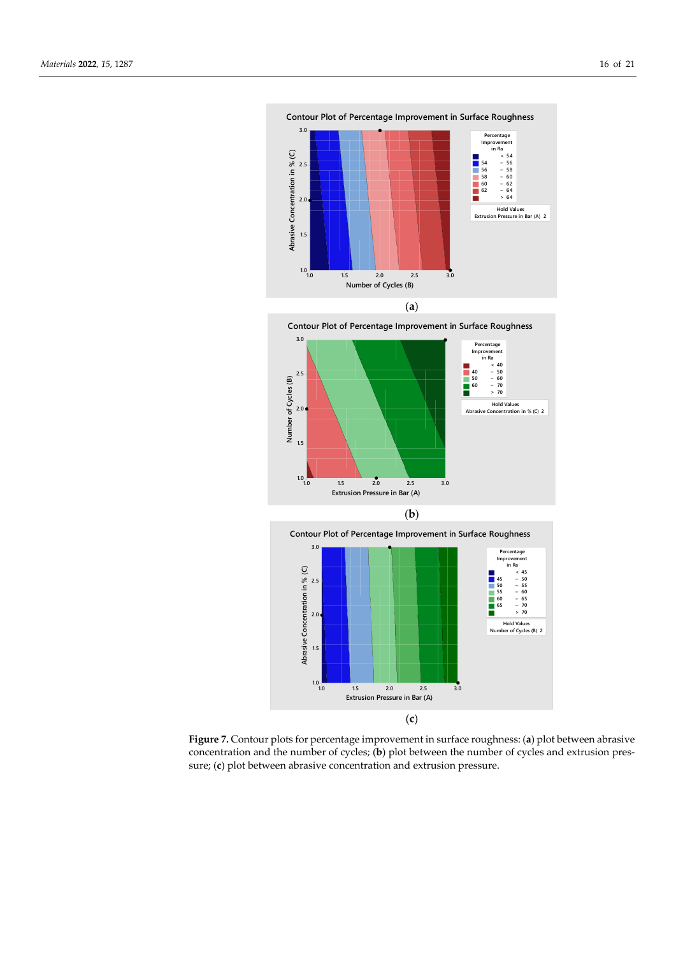





**Figure 7.** Contour plots for percentage improvement in surface roughness: (**a**) plot between abrasive concentration and the number of cycles; (**b**) plot between the number of cycles and extrusion pressure; (**c**) plot between abrasive concentration and extrusion pressure.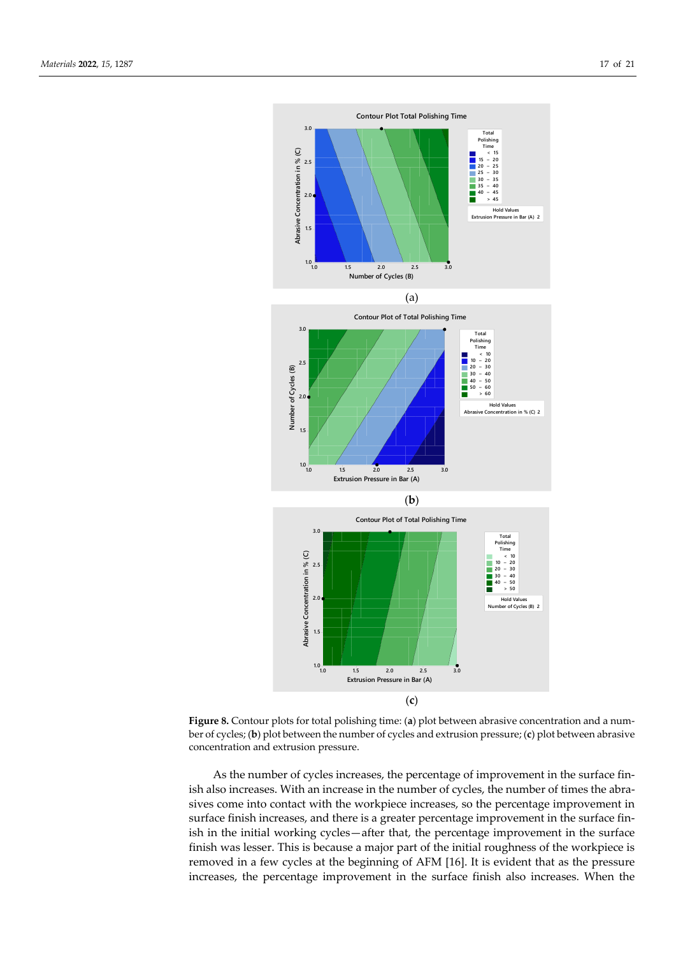

**Figure 8.** Contour plots for total polishing time: (**a**) plot between abrasive concentration and a number of cycles; (**b**) plot between the number of cycles and extrusion pressure; (**c**) plot between abrasive concentration and extrusion pressure.

As the number of cycles increases, the percentage of improvement in the surface finish also increases. With an increase in the number of cycles, the number of times the abrasives come into contact with the workpiece increases, so the percentage improvement in surface finish increases, and there is a greater percentage improvement in the surface finish in the initial working cycles—after that, the percentage improvement in the surface finish was lesser. This is because a major part of the initial roughness of the workpiece is removed in a few cycles at the beginning of AFM [16]. It is evident that as the pressure increases, the percentage improvement in the surface finish also increases. When the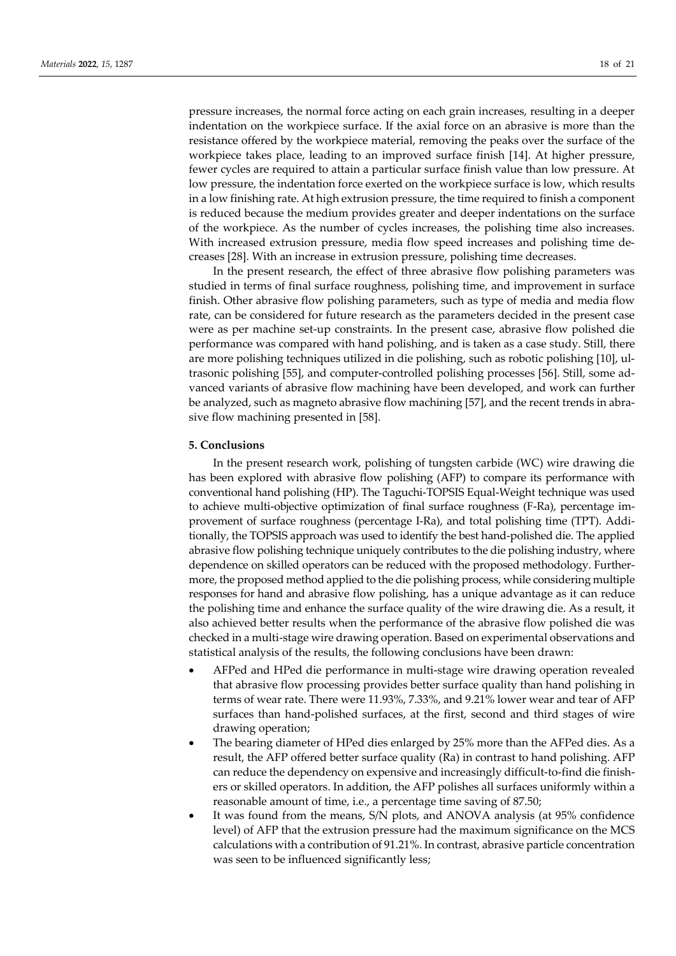pressure increases, the normal force acting on each grain increases, resulting in a deeper indentation on the workpiece surface. If the axial force on an abrasive is more than the resistance offered by the workpiece material, removing the peaks over the surface of the workpiece takes place, leading to an improved surface finish [14]. At higher pressure, fewer cycles are required to attain a particular surface finish value than low pressure. At low pressure, the indentation force exerted on the workpiece surface is low, which results in a low finishing rate. At high extrusion pressure, the time required to finish a component is reduced because the medium provides greater and deeper indentations on the surface of the workpiece. As the number of cycles increases, the polishing time also increases. With increased extrusion pressure, media flow speed increases and polishing time decreases [28]. With an increase in extrusion pressure, polishing time decreases.

In the present research, the effect of three abrasive flow polishing parameters was studied in terms of final surface roughness, polishing time, and improvement in surface finish. Other abrasive flow polishing parameters, such as type of media and media flow rate, can be considered for future research as the parameters decided in the present case were as per machine set-up constraints. In the present case, abrasive flow polished die performance was compared with hand polishing, and is taken as a case study. Still, there are more polishing techniques utilized in die polishing, such as robotic polishing [10], ultrasonic polishing [55], and computer-controlled polishing processes [56]. Still, some advanced variants of abrasive flow machining have been developed, and work can further be analyzed, such as magneto abrasive flow machining [57], and the recent trends in abrasive flow machining presented in [58].

#### **5. Conclusions**

In the present research work, polishing of tungsten carbide (WC) wire drawing die has been explored with abrasive flow polishing (AFP) to compare its performance with conventional hand polishing (HP). The Taguchi-TOPSIS Equal-Weight technique was used to achieve multi-objective optimization of final surface roughness (F-Ra), percentage improvement of surface roughness (percentage I-Ra), and total polishing time (TPT). Additionally, the TOPSIS approach was used to identify the best hand-polished die. The applied abrasive flow polishing technique uniquely contributes to the die polishing industry, where dependence on skilled operators can be reduced with the proposed methodology. Furthermore, the proposed method applied to the die polishing process, while considering multiple responses for hand and abrasive flow polishing, has a unique advantage as it can reduce the polishing time and enhance the surface quality of the wire drawing die. As a result, it also achieved better results when the performance of the abrasive flow polished die was checked in a multi-stage wire drawing operation. Based on experimental observations and statistical analysis of the results, the following conclusions have been drawn:

- AFPed and HPed die performance in multi-stage wire drawing operation revealed that abrasive flow processing provides better surface quality than hand polishing in terms of wear rate. There were 11.93%, 7.33%, and 9.21% lower wear and tear of AFP surfaces than hand-polished surfaces, at the first, second and third stages of wire drawing operation;
- The bearing diameter of HPed dies enlarged by 25% more than the AFPed dies. As a result, the AFP offered better surface quality (Ra) in contrast to hand polishing. AFP can reduce the dependency on expensive and increasingly difficult-to-find die finishers or skilled operators. In addition, the AFP polishes all surfaces uniformly within a reasonable amount of time, i.e., a percentage time saving of 87.50;
- It was found from the means, S/N plots, and ANOVA analysis (at 95% confidence level) of AFP that the extrusion pressure had the maximum significance on the MCS calculations with a contribution of 91.21%. In contrast, abrasive particle concentration was seen to be influenced significantly less;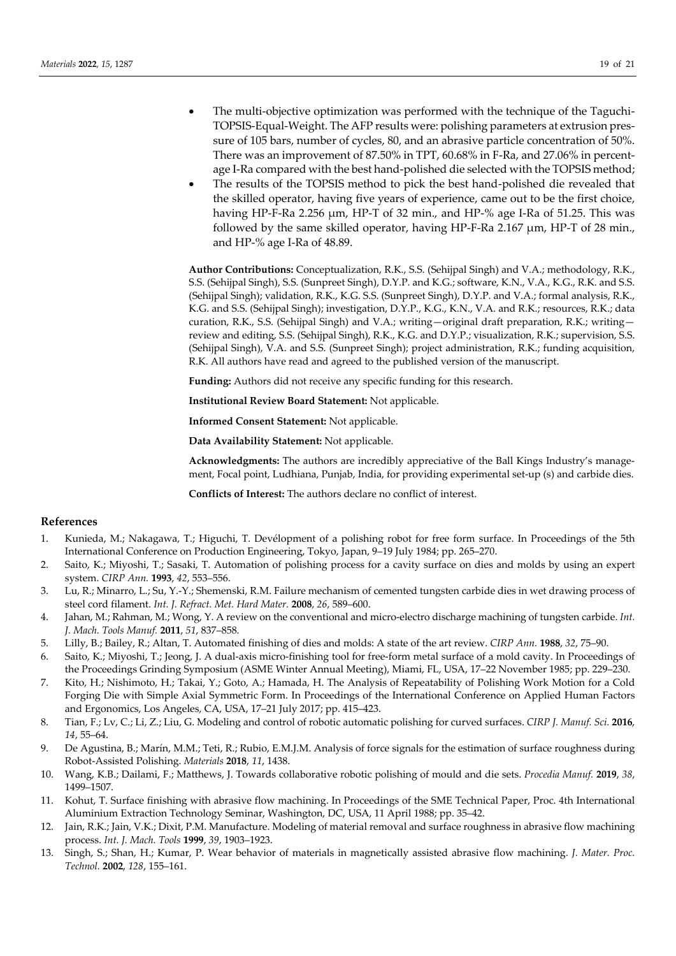- The multi-objective optimization was performed with the technique of the Taguchi-TOPSIS-Equal-Weight. The AFP results were: polishing parameters at extrusion pressure of 105 bars, number of cycles, 80, and an abrasive particle concentration of 50%. There was an improvement of 87.50% in TPT, 60.68% in F-Ra, and 27.06% in percentage I-Ra compared with the best hand-polished die selected with the TOPSIS method;
- The results of the TOPSIS method to pick the best hand-polished die revealed that the skilled operator, having five years of experience, came out to be the first choice, having HP-F-Ra 2.256 μm, HP-T of 32 min., and HP-% age I-Ra of 51.25. This was followed by the same skilled operator, having HP-F-Ra 2.167 μm, HP-T of 28 min., and HP-% age I-Ra of 48.89.

**Author Contributions:** Conceptualization, R.K., S.S. (Sehijpal Singh) and V.A.; methodology, R.K., S.S. (Sehijpal Singh), S.S. (Sunpreet Singh), D.Y.P. and K.G.; software, K.N., V.A., K.G., R.K. and S.S. (Sehijpal Singh); validation, R.K., K.G. S.S. (Sunpreet Singh), D.Y.P. and V.A.; formal analysis, R.K., K.G. and S.S. (Sehijpal Singh); investigation, D.Y.P., K.G., K.N., V.A. and R.K.; resources, R.K.; data curation, R.K., S.S. (Sehijpal Singh) and V.A.; writing—original draft preparation, R.K.; writing review and editing, S.S. (Sehijpal Singh), R.K., K.G. and D.Y.P.; visualization, R.K.; supervision, S.S. (Sehijpal Singh), V.A. and S.S. (Sunpreet Singh); project administration, R.K.; funding acquisition, R.K. All authors have read and agreed to the published version of the manuscript.

**Funding:** Authors did not receive any specific funding for this research.

**Institutional Review Board Statement:** Not applicable.

**Informed Consent Statement:** Not applicable.

**Data Availability Statement:** Not applicable.

**Acknowledgments:** The authors are incredibly appreciative of the Ball Kings Industry's management, Focal point, Ludhiana, Punjab, India, for providing experimental set-up (s) and carbide dies.

**Conflicts of Interest:** The authors declare no conflict of interest.

#### **References**

- 1. Kunieda, M.; Nakagawa, T.; Higuchi, T. Devélopment of a polishing robot for free form surface. In Proceedings of the 5th International Conference on Production Engineering, Tokyo, Japan, 9–19 July 1984; pp. 265–270.
- 2. Saito, K.; Miyoshi, T.; Sasaki, T. Automation of polishing process for a cavity surface on dies and molds by using an expert system. *CIRP Ann.* **1993**, *42*, 553–556.
- 3. Lu, R.; Minarro, L.; Su, Y.-Y.; Shemenski, R.M. Failure mechanism of cemented tungsten carbide dies in wet drawing process of steel cord filament. *Int. J. Refract. Met. Hard Mater.* **2008**, *26*, 589–600.
- 4. Jahan, M.; Rahman, M.; Wong, Y. A review on the conventional and micro-electro discharge machining of tungsten carbide. *Int. J. Mach. Tools Manuf.* **2011**, *51*, 837–858.
- 5. Lilly, B.; Bailey, R.; Altan, T. Automated finishing of dies and molds: A state of the art review. *CIRP Ann.* **1988**, *32*, 75–90.
- 6. Saito, K.; Miyoshi, T.; Jeong, J. A dual-axis micro-finishing tool for free-form metal surface of a mold cavity. In Proceedings of the Proceedings Grinding Symposium (ASME Winter Annual Meeting), Miami, FL, USA, 17–22 November 1985; pp. 229–230.
- 7. Kito, H.; Nishimoto, H.; Takai, Y.; Goto, A.; Hamada, H. The Analysis of Repeatability of Polishing Work Motion for a Cold Forging Die with Simple Axial Symmetric Form. In Proceedings of the International Conference on Applied Human Factors and Ergonomics, Los Angeles, CA, USA, 17–21 July 2017; pp. 415–423.
- 8. Tian, F.; Lv, C.; Li, Z.; Liu, G. Modeling and control of robotic automatic polishing for curved surfaces. *CIRP J. Manuf. Sci.* **2016**, *14*, 55–64.
- 9. De Agustina, B.; Marín, M.M.; Teti, R.; Rubio, E.M.J.M. Analysis of force signals for the estimation of surface roughness during Robot-Assisted Polishing. *Materials* **2018**, *11*, 1438.
- 10. Wang, K.B.; Dailami, F.; Matthews, J. Towards collaborative robotic polishing of mould and die sets. *Procedia Manuf.* **2019**, *38*, 1499–1507.
- 11. Kohut, T. Surface finishing with abrasive flow machining. In Proceedings of the SME Technical Paper, Proc. 4th International Aluminium Extraction Technology Seminar, Washington, DC, USA, 11 April 1988; pp. 35–42.
- 12. Jain, R.K.; Jain, V.K.; Dixit, P.M. Manufacture. Modeling of material removal and surface roughness in abrasive flow machining process. *Int. J. Mach. Tools* **1999**, *39*, 1903–1923.
- 13. Singh, S.; Shan, H.; Kumar, P. Wear behavior of materials in magnetically assisted abrasive flow machining. *J. Mater. Proc. Technol.* **2002**, *128*, 155–161.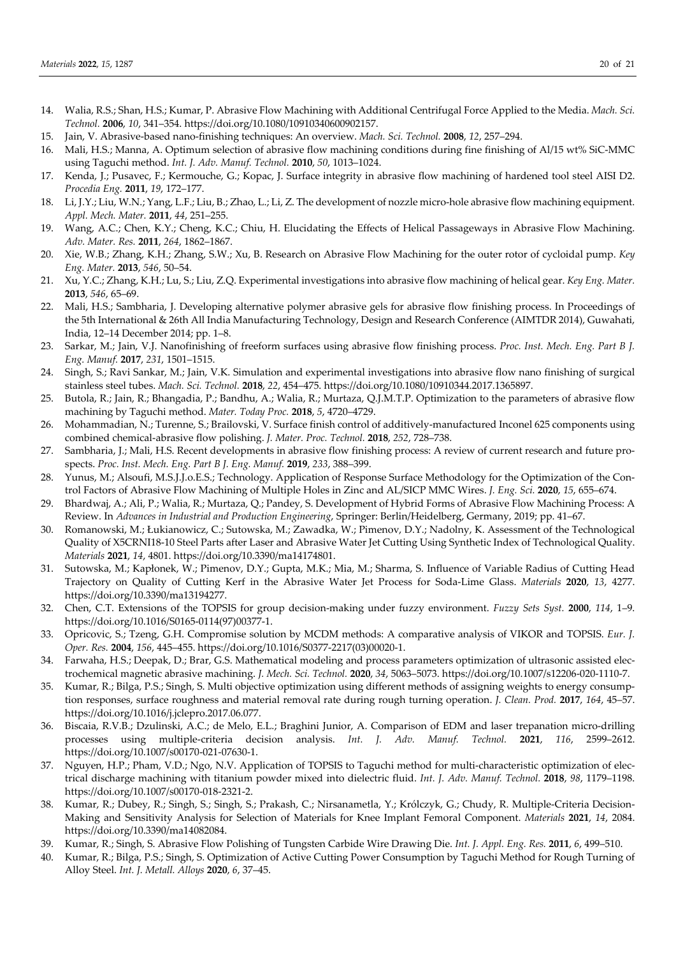- 14. Walia, R.S.; Shan, H.S.; Kumar, P. Abrasive Flow Machining with Additional Centrifugal Force Applied to the Media. *Mach. Sci. Technol.* **2006**, *10*, 341–354. https://doi.org/10.1080/10910340600902157.
- 15. Jain, V. Abrasive-based nano-finishing techniques: An overview. *Mach. Sci. Technol.* **2008**, *12*, 257–294.
- 16. Mali, H.S.; Manna, A. Optimum selection of abrasive flow machining conditions during fine finishing of Al/15 wt% SiC-MMC using Taguchi method. *Int. J. Adv. Manuf. Technol.* **2010**, *50*, 1013–1024.
- 17. Kenda, J.; Pusavec, F.; Kermouche, G.; Kopac, J. Surface integrity in abrasive flow machining of hardened tool steel AISI D2. *Procedia Eng.* **2011**, *19*, 172–177.
- 18. Li, J.Y.; Liu, W.N.; Yang, L.F.; Liu, B.; Zhao, L.; Li, Z. The development of nozzle micro-hole abrasive flow machining equipment. *Appl. Mech. Mater.* **2011**, *44*, 251–255.
- 19. Wang, A.C.; Chen, K.Y.; Cheng, K.C.; Chiu, H. Elucidating the Effects of Helical Passageways in Abrasive Flow Machining. *Adv. Mater. Res.* **2011**, *264*, 1862–1867.
- 20. Xie, W.B.; Zhang, K.H.; Zhang, S.W.; Xu, B. Research on Abrasive Flow Machining for the outer rotor of cycloidal pump. *Key Eng. Mater.* **2013**, *546*, 50–54.
- 21. Xu, Y.C.; Zhang, K.H.; Lu, S.; Liu, Z.Q. Experimental investigations into abrasive flow machining of helical gear. *Key Eng. Mater.*  **2013**, *546*, 65–69.
- 22. Mali, H.S.; Sambharia, J. Developing alternative polymer abrasive gels for abrasive flow finishing process. In Proceedings of the 5th International & 26th All India Manufacturing Technology, Design and Research Conference (AIMTDR 2014), Guwahati, India, 12–14 December 2014; pp. 1–8.
- 23. Sarkar, M.; Jain, V.J. Nanofinishing of freeform surfaces using abrasive flow finishing process. *Proc. Inst. Mech. Eng. Part B J. Eng. Manuf.* **2017**, *231*, 1501–1515.
- 24. Singh, S.; Ravi Sankar, M.; Jain, V.K. Simulation and experimental investigations into abrasive flow nano finishing of surgical stainless steel tubes. *Mach. Sci. Technol.* **2018**, *22*, 454–475. https://doi.org/10.1080/10910344.2017.1365897.
- 25. Butola, R.; Jain, R.; Bhangadia, P.; Bandhu, A.; Walia, R.; Murtaza, Q.J.M.T.P. Optimization to the parameters of abrasive flow machining by Taguchi method. *Mater. Today Proc.* **2018**, *5*, 4720–4729.
- 26. Mohammadian, N.; Turenne, S.; Brailovski, V. Surface finish control of additively-manufactured Inconel 625 components using combined chemical-abrasive flow polishing. *J. Mater. Proc. Technol.* **2018**, *252*, 728–738.
- 27. Sambharia, J.; Mali, H.S. Recent developments in abrasive flow finishing process: A review of current research and future prospects. *Proc. Inst. Mech. Eng. Part B J. Eng. Manuf.* **2019**, *233*, 388–399.
- 28. Yunus, M.; Alsoufi, M.S.J.J.o.E.S.; Technology. Application of Response Surface Methodology for the Optimization of the Control Factors of Abrasive Flow Machining of Multiple Holes in Zinc and AL/SICP MMC Wires. *J. Eng. Sci.* **2020**, *15*, 655–674.
- 29. Bhardwaj, A.; Ali, P.; Walia, R.; Murtaza, Q.; Pandey, S. Development of Hybrid Forms of Abrasive Flow Machining Process: A Review. In *Advances in Industrial and Production Engineering*, Springer: Berlin/Heidelberg, Germany, 2019; pp. 41–67.
- 30. Romanowski, M.; Łukianowicz, C.; Sutowska, M.; Zawadka, W.; Pimenov, D.Y.; Nadolny, K. Assessment of the Technological Quality of X5CRNI18-10 Steel Parts after Laser and Abrasive Water Jet Cutting Using Synthetic Index of Technological Quality. *Materials* **2021**, *14*, 4801. https://doi.org/10.3390/ma14174801.
- 31. Sutowska, M.; Kapłonek, W.; Pimenov, D.Y.; Gupta, M.K.; Mia, M.; Sharma, S. Influence of Variable Radius of Cutting Head Trajectory on Quality of Cutting Kerf in the Abrasive Water Jet Process for Soda-Lime Glass. *Materials* **2020**, *13*, 4277. https://doi.org/10.3390/ma13194277.
- 32. Chen, C.T. Extensions of the TOPSIS for group decision-making under fuzzy environment. *Fuzzy Sets Syst.* **2000**, *114*, 1–9. https://doi.org/10.1016/S0165-0114(97)00377-1.
- 33. Opricovic, S.; Tzeng, G.H. Compromise solution by MCDM methods: A comparative analysis of VIKOR and TOPSIS. *Eur. J. Oper. Res.* **2004**, *156*, 445–455. https://doi.org/10.1016/S0377-2217(03)00020-1.
- 34. Farwaha, H.S.; Deepak, D.; Brar, G.S. Mathematical modeling and process parameters optimization of ultrasonic assisted electrochemical magnetic abrasive machining. *J. Mech. Sci. Technol.* **2020**, *34*, 5063–5073. https://doi.org/10.1007/s12206-020-1110-7.
- 35. Kumar, R.; Bilga, P.S.; Singh, S. Multi objective optimization using different methods of assigning weights to energy consumption responses, surface roughness and material removal rate during rough turning operation. *J. Clean. Prod.* **2017**, *164*, 45–57. https://doi.org/10.1016/j.jclepro.2017.06.077.
- 36. Biscaia, R.V.B.; Dzulinski, A.C.; de Melo, E.L.; Braghini Junior, A. Comparison of EDM and laser trepanation micro-drilling processes using multiple-criteria decision analysis. *Int. J. Adv. Manuf. Technol.* **2021**, *116*, 2599–2612. https://doi.org/10.1007/s00170-021-07630-1.
- 37. Nguyen, H.P.; Pham, V.D.; Ngo, N.V. Application of TOPSIS to Taguchi method for multi-characteristic optimization of electrical discharge machining with titanium powder mixed into dielectric fluid. *Int. J. Adv. Manuf. Technol.* **2018**, *98*, 1179–1198. https://doi.org/10.1007/s00170-018-2321-2.
- 38. Kumar, R.; Dubey, R.; Singh, S.; Singh, S.; Prakash, C.; Nirsanametla, Y.; Królczyk, G.; Chudy, R. Multiple-Criteria Decision-Making and Sensitivity Analysis for Selection of Materials for Knee Implant Femoral Component. *Materials* **2021**, *14*, 2084. https://doi.org/10.3390/ma14082084.
- 39. Kumar, R.; Singh, S. Abrasive Flow Polishing of Tungsten Carbide Wire Drawing Die. *Int. J. Appl. Eng. Res.* **2011**, *6*, 499–510.
- 40. Kumar, R.; Bilga, P.S.; Singh, S. Optimization of Active Cutting Power Consumption by Taguchi Method for Rough Turning of Alloy Steel. *Int. J. Metall. Alloys* **2020**, *6*, 37–45.